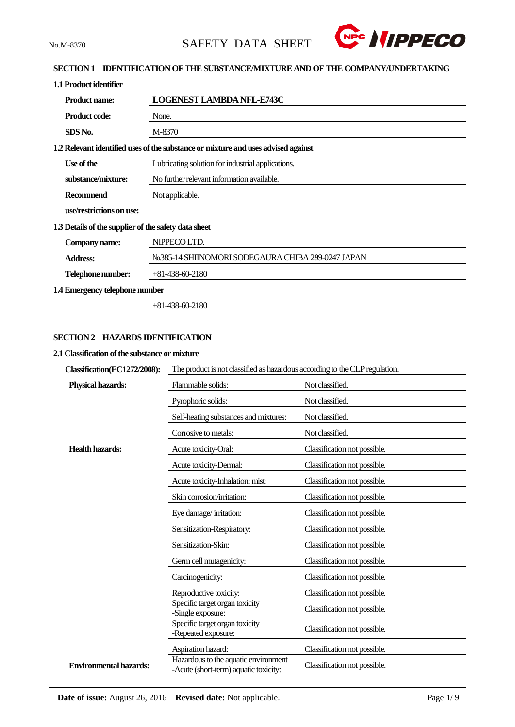

## **SECTION 1 IDENTIFICATION OF THE SUBSTANCE/MIXTURE AND OF THE COMPANY/UNDERTAKING**

| 1.1 Product identifier                               |                                                                                   |  |  |
|------------------------------------------------------|-----------------------------------------------------------------------------------|--|--|
| <b>Product name:</b>                                 | <b>LOGENEST LAMBDA NFL-E743C</b>                                                  |  |  |
| <b>Product code:</b>                                 | None.                                                                             |  |  |
| SDS No.                                              | M-8370                                                                            |  |  |
|                                                      | 1.2 Relevant identified uses of the substance or mixture and uses advised against |  |  |
| Use of the                                           | Lubricating solution for industrial applications.                                 |  |  |
| substance/mixture:                                   | No further relevant information available.                                        |  |  |
| <b>Recommend</b>                                     | Not applicable.                                                                   |  |  |
| use/restrictions on use:                             |                                                                                   |  |  |
| 1.3 Details of the supplier of the safety data sheet |                                                                                   |  |  |
| Company name:                                        | NIPPECO LTD.                                                                      |  |  |
| <b>Address:</b>                                      | No.385-14 SHIINOMORI SODEGAURA CHIBA 299-0247 JAPAN                               |  |  |
| Telephone number:                                    | $+81-438-60-2180$                                                                 |  |  |
| 1.4 Emergency telephone number                       |                                                                                   |  |  |

+81-438-60-2180

## **SECTION 2 HAZARDS IDENTIFICATION**

## **2.1 Classification of the substance or mixture**

| Classification(EC1272/2008):  | The product is not classified as hazardous according to the CLP regulation.   |                              |  |  |
|-------------------------------|-------------------------------------------------------------------------------|------------------------------|--|--|
| <b>Physical hazards:</b>      | Flammable solids:                                                             | Not classified.              |  |  |
|                               | Pyrophoric solids:                                                            | Not classified.              |  |  |
|                               | Self-heating substances and mixtures:                                         | Not classified.              |  |  |
|                               | Corrosive to metals:                                                          | Not classified.              |  |  |
| <b>Health hazards:</b>        | Acute toxicity-Oral:                                                          | Classification not possible. |  |  |
|                               | Acute toxicity-Dermal:                                                        | Classification not possible. |  |  |
|                               | Acute toxicity-Inhalation: mist:                                              | Classification not possible. |  |  |
|                               | Skin corrosion/irritation:                                                    | Classification not possible. |  |  |
|                               | Eye damage/irritation:                                                        | Classification not possible. |  |  |
|                               | Sensitization-Respiratory:                                                    | Classification not possible. |  |  |
|                               | Sensitization-Skin:                                                           | Classification not possible. |  |  |
|                               | Germ cell mutagenicity:                                                       | Classification not possible. |  |  |
|                               | Carcinogenicity:                                                              | Classification not possible. |  |  |
|                               | Reproductive toxicity:                                                        | Classification not possible. |  |  |
|                               | Specific target organ toxicity<br>-Single exposure:                           | Classification not possible. |  |  |
|                               | Specific target organ toxicity<br>-Repeated exposure:                         | Classification not possible. |  |  |
|                               | Aspiration hazard:                                                            | Classification not possible. |  |  |
| <b>Environmental hazards:</b> | Hazardous to the aquatic environment<br>-Acute (short-term) aquatic toxicity: | Classification not possible. |  |  |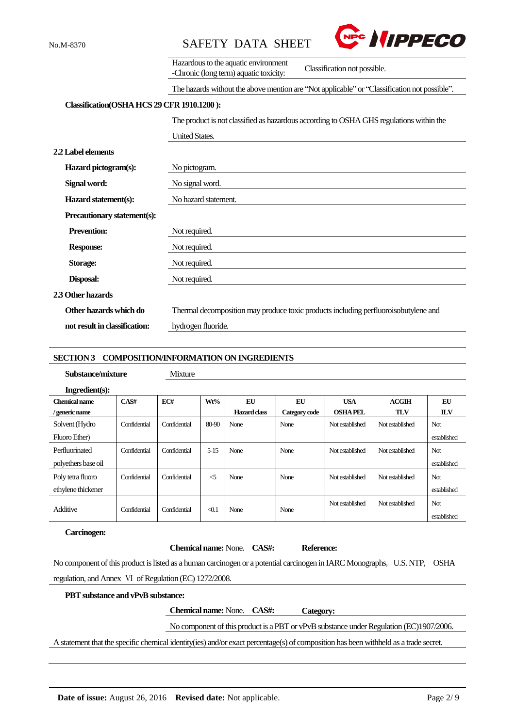



|                               | Hazardous to the aquatic environment<br>Classification not possible.<br>-Chronic (long term) aquatic toxicity: |  |  |  |  |
|-------------------------------|----------------------------------------------------------------------------------------------------------------|--|--|--|--|
|                               | The hazards without the above mention are "Not applicable" or "Classification not possible".                   |  |  |  |  |
|                               | Classification(OSHA HCS 29 CFR 1910.1200):                                                                     |  |  |  |  |
|                               | The product is not classified as hazardous according to OSHA GHS regulations within the                        |  |  |  |  |
|                               | <b>United States.</b>                                                                                          |  |  |  |  |
| 2.2 Label elements            |                                                                                                                |  |  |  |  |
| Hazard pictogram(s):          | No pictogram.                                                                                                  |  |  |  |  |
| Signal word:                  | No signal word.                                                                                                |  |  |  |  |
| Hazard statement(s):          | No hazard statement.                                                                                           |  |  |  |  |
| Precautionary statement(s):   |                                                                                                                |  |  |  |  |
| <b>Prevention:</b>            | Not required.                                                                                                  |  |  |  |  |
| <b>Response:</b>              | Not required.                                                                                                  |  |  |  |  |
| <b>Storage:</b>               | Not required.                                                                                                  |  |  |  |  |
| Disposal:                     | Not required.                                                                                                  |  |  |  |  |
| 2.3 Other hazards             |                                                                                                                |  |  |  |  |
| Other hazards which do        | Thermal decomposition may produce toxic products including perfluoroisobutylene and                            |  |  |  |  |
| not result in classification: | hydrogen fluoride.                                                                                             |  |  |  |  |

#### **SECTION 3 COMPOSITION/INFORMATION ON INGREDIENTS**

## **Substance/mixture** Mixture

| Ingradient(s): |  |
|----------------|--|

| <b>Chemical name</b><br>/ generic name  | CAS#         | EC#          | Wt%                 | EU<br>Hazard class | EU<br>Category code | <b>USA</b><br><b>OSHAPEL</b> | ACGIH<br><b>TLV</b> | EU<br><b>ILV</b>          |
|-----------------------------------------|--------------|--------------|---------------------|--------------------|---------------------|------------------------------|---------------------|---------------------------|
| Solvent (Hydro<br>Fluoro Ether)         | Confidential | Confidential | 80-90               | None               | None                | Not established              | Not established     | <b>Not</b><br>established |
| Perfluorinated<br>polyethers base oil   | Confidential | Confidential | $5 - 15$            | None               | None                | Not established              | Not established     | <b>Not</b><br>established |
| Poly tetra fluoro<br>ethylene thickener | Confidential | Confidential | $\leq$              | None               | None                | Not established              | Not established     | <b>Not</b><br>established |
| Additive                                | Confidential | Confidential | $\triangleleft$ 0.1 | None               | None                | Not established              | Not established     | <b>Not</b><br>established |

#### **Carcinogen:**

#### **Chemical name:** None. **CAS#: Reference:**

No component of this product is listed as a human carcinogen or a potential carcinogen in IARC Monographs, U.S. NTP, OSHA regulation, and Annex Ⅵ of Regulation (EC) 1272/2008.

### **PBT substance and vPvB substance:**

**Chemical name:** None. **CAS#: Category:**

# No component of this product is a PBT or vPvB substance under Regulation (EC)1907/2006.

A statement that the specific chemical identity(ies) and/or exact percentage(s) of composition has been withheld as a trade secret.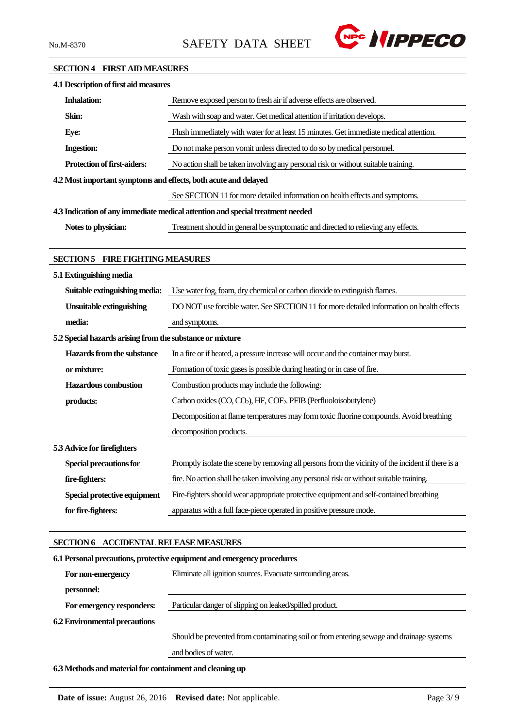

#### **SECTION 4 FIRST AID MEASURES**

| 4.1 Description of first aid measures                           |                                                                                                    |
|-----------------------------------------------------------------|----------------------------------------------------------------------------------------------------|
| <b>Inhalation:</b>                                              | Remove exposed person to fresh air if adverse effects are observed.                                |
| Skin:                                                           | Wash with soap and water. Get medical attention if irritation develops.                            |
| Eye:                                                            | Flush immediately with water for at least 15 minutes. Get immediate medical attention.             |
| <b>Ingestion:</b>                                               | Do not make person vomit unless directed to do so by medical personnel.                            |
| Protection of first-aiders:                                     | No action shall be taken involving any personal risk or without suitable training.                 |
| 4.2 Most important symptoms and effects, both acute and delayed |                                                                                                    |
|                                                                 | See SECTION 11 for more detailed information on health effects and symptoms.                       |
|                                                                 | 4.3 Indication of any immediate medical attention and special treatment needed                     |
| Notes to physician:                                             | Treatment should in general be symptomatic and directed to relieving any effects.                  |
|                                                                 |                                                                                                    |
| <b>SECTION 5 FIRE FIGHTING MEASURES</b>                         |                                                                                                    |
| 5.1 Extinguishing media                                         |                                                                                                    |
| Suitable extinguishing media:                                   | Use water fog, foam, dry chemical or carbon dioxide to extinguish flames.                          |
| <b>Unsuitable extinguishing</b>                                 | DO NOT use forcible water. See SECTION 11 for more detailed information on health effects          |
| media:                                                          | and symptoms.                                                                                      |
| 5.2 Special hazards arising from the substance or mixture       |                                                                                                    |
| Hazards from the substance                                      | In a fire or if heated, a pressure increase will occur and the container may burst.                |
| or mixture:                                                     | Formation of toxic gases is possible during heating or in case of fire.                            |
| <b>Hazardous</b> combustion                                     | Combustion products may include the following:                                                     |
| products:                                                       | Carbon oxides (CO, CO <sub>2</sub> ), HF, COF <sub>2</sub> . PFIB (Perfluoloisobutylene)           |
|                                                                 | Decomposition at flame temperatures may form toxic fluorine compounds. Avoid breathing             |
|                                                                 | decomposition products.                                                                            |
| 5.3 Advice for firefighters                                     |                                                                                                    |
| <b>Special precautions for</b>                                  | Promptly isolate the scene by removing all persons from the vicinity of the incident if there is a |
| fire-fighters:                                                  | fire. No action shall be taken involving any personal risk or without suitable training.           |
| Special protective equipment                                    | Fire-fighters should wear appropriate protective equipment and self-contained breathing            |
| for fire-fighters:                                              | apparatus with a full face-piece operated in positive pressure mode.                               |
|                                                                 |                                                                                                    |
| SECTION 6 ACCIDENTAL RELEASE MEASURES                           |                                                                                                    |
|                                                                 | 6.1 Personal precautions, protective equipment and emergency procedures                            |
| For non-emergency                                               | Eliminate all ignition sources. Evacuate surrounding areas.                                        |
| personnel:                                                      |                                                                                                    |

**6.2 Environmental precautions**

For emergency responders: Particular danger of slipping on leaked/spilled product.

Should be prevented from contaminating soil or from entering sewage and drainage systems and bodies of water.

**6.3 Methods and material for containment and cleaning up**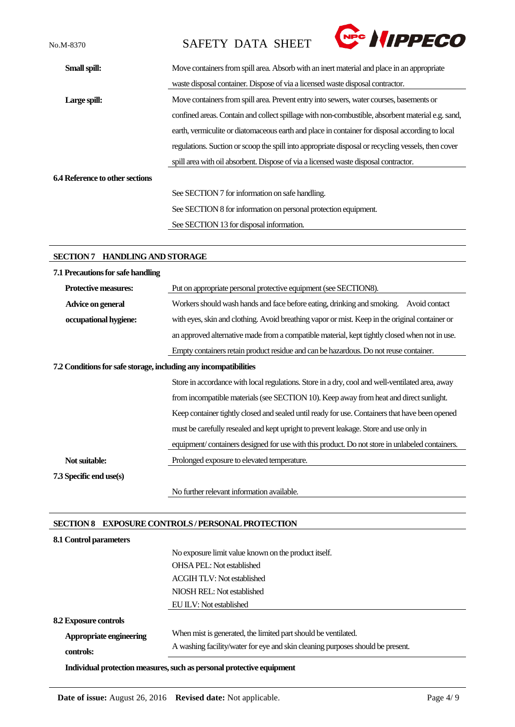No.M-8370 SAFETY DATA SHEET



| Small spill:                           | Move containers from spill area. Absorb with an inert material and place in an appropriate         |
|----------------------------------------|----------------------------------------------------------------------------------------------------|
|                                        | waste disposal container. Dispose of via a licensed waste disposal contractor.                     |
| Large spill:                           | Move containers from spill area. Prevent entry into sewers, water courses, basements or            |
|                                        | confined areas. Contain and collect spillage with non-combustible, absorbent material e.g. sand,   |
|                                        | earth, vermiculite or diatomaceous earth and place in container for disposal according to local    |
|                                        | regulations. Suction or scoop the spill into appropriate disposal or recycling vessels, then cover |
|                                        | spill area with oil absorbent. Dispose of via a licensed waste disposal contractor.                |
| <b>6.4 Reference to other sections</b> |                                                                                                    |
|                                        | See SECTION 7 for information on safe handling.                                                    |
|                                        | See SECTION 8 for information on personal protection equipment.                                    |
|                                        | See SECTION 13 for disposal information.                                                           |

## **SECTION 7 HANDLING AND STORAGE**

| 7.1 Precautions for safe handling |                                                                                                 |  |  |  |
|-----------------------------------|-------------------------------------------------------------------------------------------------|--|--|--|
| <b>Protective measures:</b>       | Put on appropriate personal protective equipment (see SECTION8).                                |  |  |  |
| Advice on general                 | Workers should wash hands and face before eating, drinking and smoking.<br>Avoid contact        |  |  |  |
| occupational hygiene:             | with eyes, skin and clothing. Avoid breathing vapor or mist. Keep in the original container or  |  |  |  |
|                                   | an approved alternative made from a compatible material, kept tightly closed when not in use.   |  |  |  |
|                                   | Empty containers retain product residue and can be hazardous. Do not reuse container.           |  |  |  |
|                                   | 7.2 Conditions for safe storage, including any incompatibilities                                |  |  |  |
|                                   | Store in accordance with local regulations. Store in a dry, cool and well-ventilated area, away |  |  |  |
|                                   | from incompatible materials (see SECTION 10). Keep away from heat and direct sunlight.          |  |  |  |
|                                   | Keep container tightly closed and sealed until ready for use. Containers that have been opened  |  |  |  |
|                                   | must be carefully resealed and kept upright to prevent leakage. Store and use only in           |  |  |  |
|                                   | equipment/containers designed for use with this product. Do not store in unlabeled containers.  |  |  |  |
| Not suitable:                     | Prolonged exposure to elevated temperature.                                                     |  |  |  |
| 7.3 Specific end use(s)           |                                                                                                 |  |  |  |
|                                   | No further relevant information available.                                                      |  |  |  |

# **SECTION 8 EXPOSURE CONTROLS / PERSONAL PROTECTION**

| 8.1 Control parameters       |                                                                                |
|------------------------------|--------------------------------------------------------------------------------|
|                              | No exposure limit value known on the product itself.                           |
|                              | <b>OHSA PEL:</b> Not established                                               |
|                              | <b>ACGIH TLV: Not established</b>                                              |
|                              | NIOSH REL: Not established                                                     |
|                              | EU ILV: Not established                                                        |
| <b>8.2 Exposure controls</b> |                                                                                |
| Appropriate engineering      | When mist is generated, the limited part should be ventilated.                 |
| controls:                    | A washing facility/water for eye and skin cleaning purposes should be present. |
|                              | Individual protection measures, such as personal protective equipment          |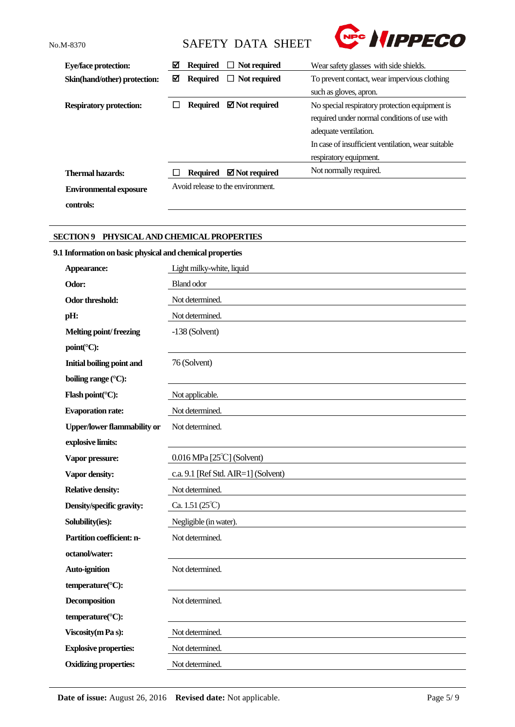**controls:**

No.M-8370 SAFETY DATA SHEET



| <b>Eye/face protection:</b>    | ☑ | <b>Required</b> | $\Box$ Not required               | Wear safety glasses with side shields.             |  |
|--------------------------------|---|-----------------|-----------------------------------|----------------------------------------------------|--|
| Skin(hand/other) protection:   | ☑ | <b>Required</b> | $\Box$ Not required               | To prevent contact, wear impervious clothing       |  |
|                                |   |                 |                                   | such as gloves, apron.                             |  |
| <b>Respiratory protection:</b> |   | <b>Required</b> | $\boxtimes$ Not required          | No special respiratory protection equipment is     |  |
|                                |   |                 |                                   | required under normal conditions of use with       |  |
|                                |   |                 |                                   | adequate ventilation.                              |  |
|                                |   |                 |                                   | In case of insufficient ventilation, wear suitable |  |
|                                |   |                 |                                   | respiratory equipment.                             |  |
| Thermal hazards:               |   | Required        | $\boxtimes$ Not required          | Not normally required.                             |  |
| <b>Environmental exposure</b>  |   |                 | Avoid release to the environment. |                                                    |  |

## **SECTION 9 PHYSICAL AND CHEMICAL PROPERTIES**

# **9.1 Information on basic physical and chemical properties**

| Appearance:                        | Light milky-white, liquid           |
|------------------------------------|-------------------------------------|
| Odor:                              | <b>Bland odor</b>                   |
| <b>Odor threshold:</b>             | Not determined.                     |
| pH:                                | Not determined.                     |
| Melting point/freezing             | $-138$ (Solvent)                    |
| point(°C):                         |                                     |
| <b>Initial boiling point and</b>   | 76 (Solvent)                        |
| boiling range (°C):                |                                     |
| Flash point(°C):                   | Not applicable.                     |
| <b>Evaporation rate:</b>           | Not determined.                     |
| <b>Upper/lower flammability or</b> | Not determined.                     |
| explosive limits:                  |                                     |
| Vapor pressure:                    | $0.016$ MPa [25 $°C$ ] (Solvent)    |
| Vapor density:                     | c.a. 9.1 [Ref Std. AIR=1] (Solvent) |
| <b>Relative density:</b>           | Not determined.                     |
| Density/specific gravity:          | Ca. $1.51(25^{\circ}C)$             |
| Solubility(ies):                   | Negligible (in water).              |
| Partition coefficient: n-          | Not determined.                     |
| octanol/water:                     |                                     |
| Auto-ignition                      | Not determined.                     |
| temperature(°C):                   |                                     |
| <b>Decomposition</b>               | Not determined.                     |
| temperature(°C):                   |                                     |
| Viscosity (m Pa s):                | Not determined.                     |
| <b>Explosive properties:</b>       | Not determined.                     |
| <b>Oxidizing properties:</b>       | Not determined.                     |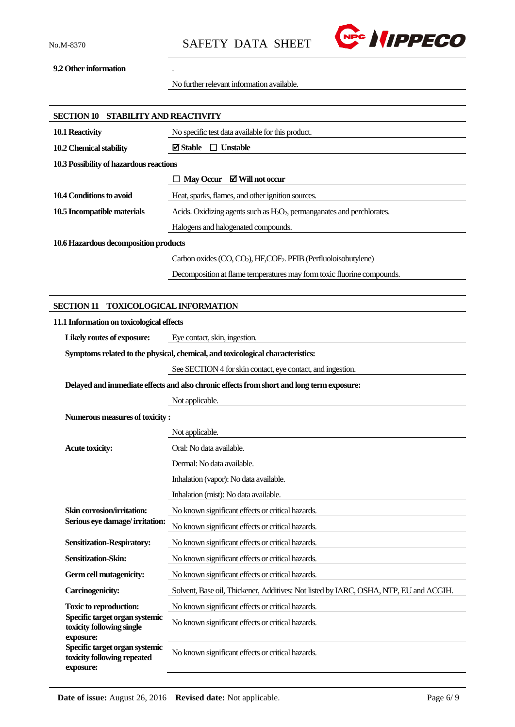

## **9.2 Other information** .

No further relevant information available.

| SECTION 10 STABILITY AND REACTIVITY                                                       |                                                                                          |  |  |
|-------------------------------------------------------------------------------------------|------------------------------------------------------------------------------------------|--|--|
| 10.1 Reactivity                                                                           | No specific test data available for this product.                                        |  |  |
| 10.2 Chemical stability                                                                   | $\boxtimes$ Stable $\Box$ Unstable                                                       |  |  |
| 10.3 Possibility of hazardous reactions                                                   |                                                                                          |  |  |
|                                                                                           | $\Box$ May Occur $\Box$ Will not occur                                                   |  |  |
| 10.4 Conditions to avoid                                                                  | Heat, sparks, flames, and other ignition sources.                                        |  |  |
| 10.5 Incompatible materials                                                               | Acids. Oxidizing agents such as $H_2O_2$ , permanganates and perchlorates.               |  |  |
|                                                                                           | Halogens and halogenated compounds.                                                      |  |  |
| 10.6 Hazardous decomposition products                                                     |                                                                                          |  |  |
|                                                                                           | Carbon oxides (CO, CO <sub>2</sub> ), HF, COF <sub>2</sub> . PFIB (Perfluoloisobutylene) |  |  |
|                                                                                           | Decomposition at flame temperatures may form toxic fluorine compounds.                   |  |  |
|                                                                                           |                                                                                          |  |  |
| <b>SECTION 11</b>                                                                         | <b>TOXICOLOGICAL INFORMATION</b>                                                         |  |  |
| 11.1 Information on toxicological effects                                                 |                                                                                          |  |  |
| Likely routes of exposure:                                                                | Eye contact, skin, ingestion.                                                            |  |  |
|                                                                                           | Symptoms related to the physical, chemical, and toxicological characteristics:           |  |  |
|                                                                                           | See SECTION 4 for skin contact, eye contact, and ingestion.                              |  |  |
| Delayed and immediate effects and also chronic effects from short and long term exposure: |                                                                                          |  |  |
|                                                                                           | Not applicable.                                                                          |  |  |
| Numerous measures of toxicity:                                                            |                                                                                          |  |  |
|                                                                                           | Not applicable.                                                                          |  |  |
| <b>Acute toxicity:</b>                                                                    | Oral: No data available.                                                                 |  |  |
|                                                                                           | Dermal: No data available.                                                               |  |  |
|                                                                                           | Inhalation (vapor): No data available.                                                   |  |  |
|                                                                                           | Inhalation (mist): No data available.                                                    |  |  |
| Skin corrosion/irritation:<br>Serious eye damage/irritation:                              | No known significant effects or critical hazards.                                        |  |  |
|                                                                                           | No known significant effects or critical hazards.                                        |  |  |
| <b>Sensitization-Respiratory:</b>                                                         | No known significant effects or critical hazards.                                        |  |  |
| Sensitization-Skin:                                                                       | No known significant effects or critical hazards.                                        |  |  |
| Germ cell mutagenicity:                                                                   | No known significant effects or critical hazards.                                        |  |  |
| <b>Carcinogenicity:</b>                                                                   | Solvent, Base oil, Thickener, Additives: Not listed by IARC, OSHA, NTP, EU and ACGIH.    |  |  |
| <b>Toxic to reproduction:</b><br>Specific target organ systemic                           | No known significant effects or critical hazards.                                        |  |  |
| toxicity following single<br>exposure:                                                    | No known significant effects or critical hazards.                                        |  |  |
| Specific target organ systemic<br>toxicity following repeated<br>exposure:                | No known significant effects or critical hazards.                                        |  |  |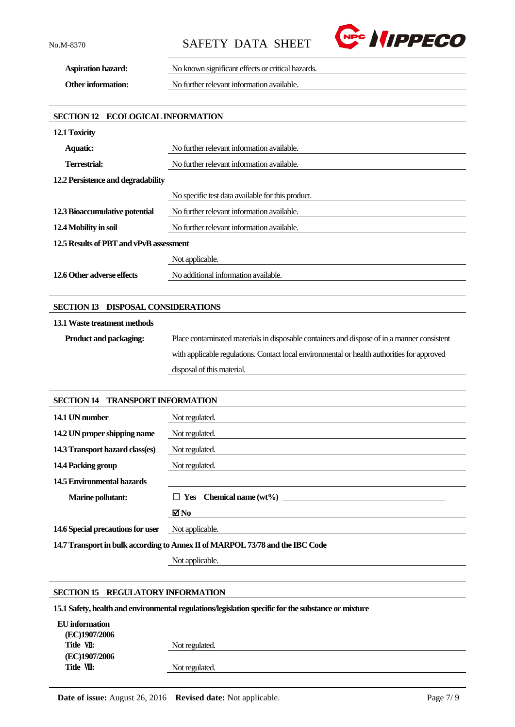No.M-8370 SAFETY DATA SHEET



**Aspiration hazard:** No known significant effects or critical hazards. **Other information:** No further relevant information available.

**SECTION 12 ECOLOGICAL INFORMATION**

| 12.1 Toxicity                           |                                                   |  |
|-----------------------------------------|---------------------------------------------------|--|
| <b>Aquatic:</b>                         | No further relevant information available.        |  |
| Terrestrial:                            | No further relevant information available.        |  |
| 12.2 Persistence and degradability      |                                                   |  |
|                                         | No specific test data available for this product. |  |
| 12.3 Bioaccumulative potential          | No further relevant information available.        |  |
| 12.4 Mobility in soil                   | No further relevant information available.        |  |
| 12.5 Results of PBT and vPvB assessment |                                                   |  |
|                                         | Not applicable.                                   |  |
| 12.6 Other adverse effects              | No additional information available.              |  |

### **SECTION 13 DISPOSAL CONSIDERATIONS**

#### **13.1Waste treatment methods**

**Product and packaging:** Place contaminated materials in disposable containers and dispose of in a manner consistent with applicable regulations. Contact local environmental or health authorities for approved disposal of this material.

## **SECTION 14 TRANSPORT INFORMATION**

| 14.1 UN number                                                                | Not regulated.                 |  |
|-------------------------------------------------------------------------------|--------------------------------|--|
| 14.2 UN proper shipping name                                                  | Not regulated.                 |  |
| 14.3 Transport hazard class(es)                                               | Not regulated.                 |  |
| 14.4 Packing group                                                            | Not regulated.                 |  |
| 14.5 Environmental hazards                                                    |                                |  |
| <b>Marine pollutant:</b>                                                      | $\Box$ Yes Chemical name (wt%) |  |
|                                                                               | $\blacksquare$ No              |  |
| 14.6 Special precautions for user                                             | Not applicable.                |  |
| 14.7 Transport in bulk according to Annex II of MARPOL 73/78 and the IBC Code |                                |  |

Not applicable.

## **SECTION 15 REGULATORY INFORMATION**

**15.1 Safety, health and environmental regulations/legislation specific for the substance or mixture**

| EU information |                |  |
|----------------|----------------|--|
| (EC)1907/2006  |                |  |
| Title VII:     | Not regulated. |  |
| (EC)1907/2006  |                |  |
| Title VII:     | Not regulated. |  |
|                |                |  |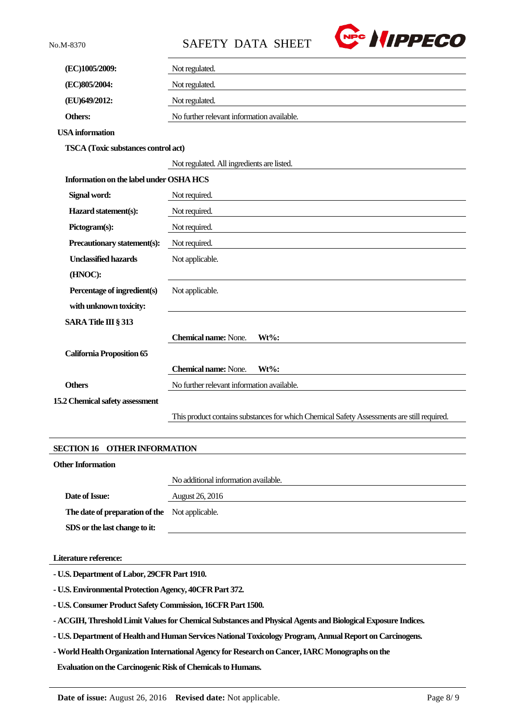No.M-8370 SAFETY DATA SHEET



| (EC)1005/2009:                             | Not regulated.                                                                             |  |
|--------------------------------------------|--------------------------------------------------------------------------------------------|--|
| (EC)805/2004:                              | Not regulated.                                                                             |  |
| (EU)649/2012:                              | Not regulated.                                                                             |  |
| Others:                                    | No further relevant information available.                                                 |  |
| <b>USA</b> information                     |                                                                                            |  |
| <b>TSCA</b> (Toxic substances control act) |                                                                                            |  |
|                                            | Not regulated. All ingredients are listed.                                                 |  |
| Information on the label under OSHA HCS    |                                                                                            |  |
| Signal word:                               | Not required.                                                                              |  |
| Hazard statement(s):                       | Not required.                                                                              |  |
| Pictogram(s):                              | Not required.                                                                              |  |
| Precautionary statement(s):                | Not required.                                                                              |  |
| <b>Unclassified hazards</b>                | Not applicable.                                                                            |  |
| (HNOC):                                    |                                                                                            |  |
| Percentage of ingredient(s)                | Not applicable.                                                                            |  |
| with unknown toxicity:                     |                                                                                            |  |
| SARA Title III § 313                       |                                                                                            |  |
|                                            | <b>Chemical name:</b> None.<br>$Wt\%$ :                                                    |  |
| <b>California Proposition 65</b>           |                                                                                            |  |
|                                            | <b>Chemical name:</b> None.<br>$Wt\%$ :                                                    |  |
| <b>Others</b>                              | No further relevant information available.                                                 |  |
| 15.2 Chemical safety assessment            |                                                                                            |  |
|                                            | This product contains substances for which Chemical Safety Assessments are still required. |  |
|                                            |                                                                                            |  |
|                                            |                                                                                            |  |

### **SECTION 16 OTHER INFORMATION**

#### **Other Information**

No additional information available. **Date of Issue:** August 26, 2016 **The date of preparation of the**  Not applicable. **SDS or the last change to it:**

#### **Literature reference:**

**- U.S. Department of Labor, 29CFR Part 1910.**

**- U.S. Environmental Protection Agency, 40CFR Part 372.**

**- U.S. Consumer Product Safety Commission, 16CFR Part 1500.**

**- ACGIH, Threshold Limit Values for Chemical Substances and Physical Agents and Biological Exposure Indices.**

**- U.S. Department of Health and Human Services National Toxicology Program, Annual Report on Carcinogens.**

**-World Health Organization International Agency for Research on Cancer, IARC Monographs on the**

**Evaluation on the Carcinogenic Risk of Chemicals to Humans.**